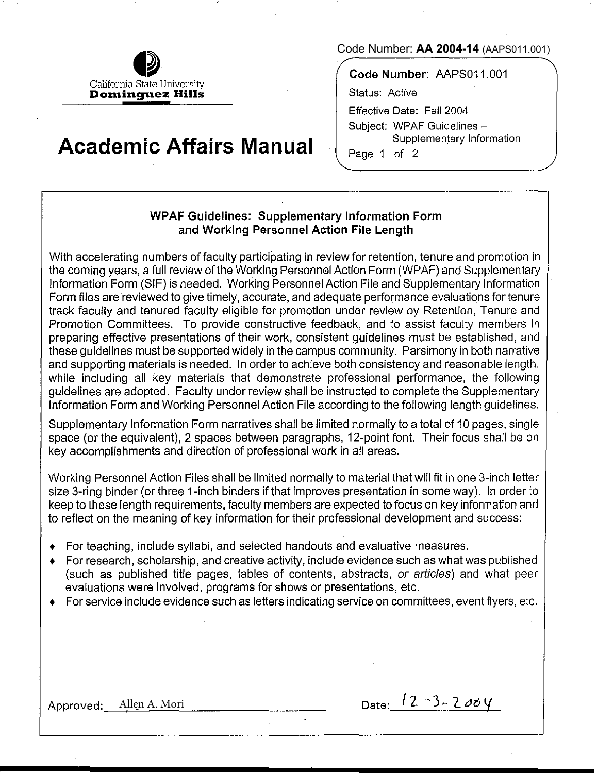

## **Academic Affairs Manual**

Code Number: **AA 2004-14** (AAPS011.001)

**Code Number:** AAPS011.001

Status: Active

Effective Date: Fall 2004 Subject: WPAF Guidelines -Supplementary Information

Page 1 of 2

## **WPAF Guidelines: Supplementary Information Form and Working Personnel Action File Length**

With accelerating numbers of faculty participating in review for retention, tenure and promotion in the coming years, a full review of the Working Personnel Action Form (WPAF) and Supplementary Information Form (SIF) is needed. Working Personnel Action File and Supplementary Information Form files are reviewed to give timely, accurate, and adequate performance evaluations for tenure track faculty and tenured faculty eligible for promotion under review by Retention, Tenure and Promotion Committees. To provide constructive feedback, and to assist faculty members in preparing effective presentations of their work, consistent guidelines must be established, and these guidelines must be supported widely in the campus community. Parsimony in both narrative and supporting materials is needed. In order to achieve both consistency and reasonable length, while including all key materials that demonstrate professional performance, the following guidelines are adopted. Faculty under review shall be instructed to complete the Supplementary Information Form and Working Personnel Action File according to the following length guidelines.

Supplementary Information Form narratives shall be limited normally to a total of 10 pages, single space (or the equivalent), 2 spaces between paragraphs, 12-point font. Their focus shall be on key accomplishments and direction of professional work in all areas.

Working Personnel Action Files shall be limited normally to material that will fit in one 3-inch letter size 3-ring binder (or three 1-inch binders if that improves presentation in some way). In order to keep to these length requirements, faculty members are expected to focus on key information and to reflect on the meaning of key information for their professional development and success:

- $\bullet$  For teaching, include syllabi, and selected handouts and evaluative measures.
- $\bullet$  For research, scholarship, and creative activity, include evidence such as what was published (such as published title pages, tables of contents, abstracts, or articles) and what peer evaluations were involved, programs for shows or presentations, etc.
- $\bullet$  For service include evidence such as letters indicating service on committees, event flyers, etc.

Approved: Allen A. Mori Date:  $\int 2 - 3 - 2 \omega y$